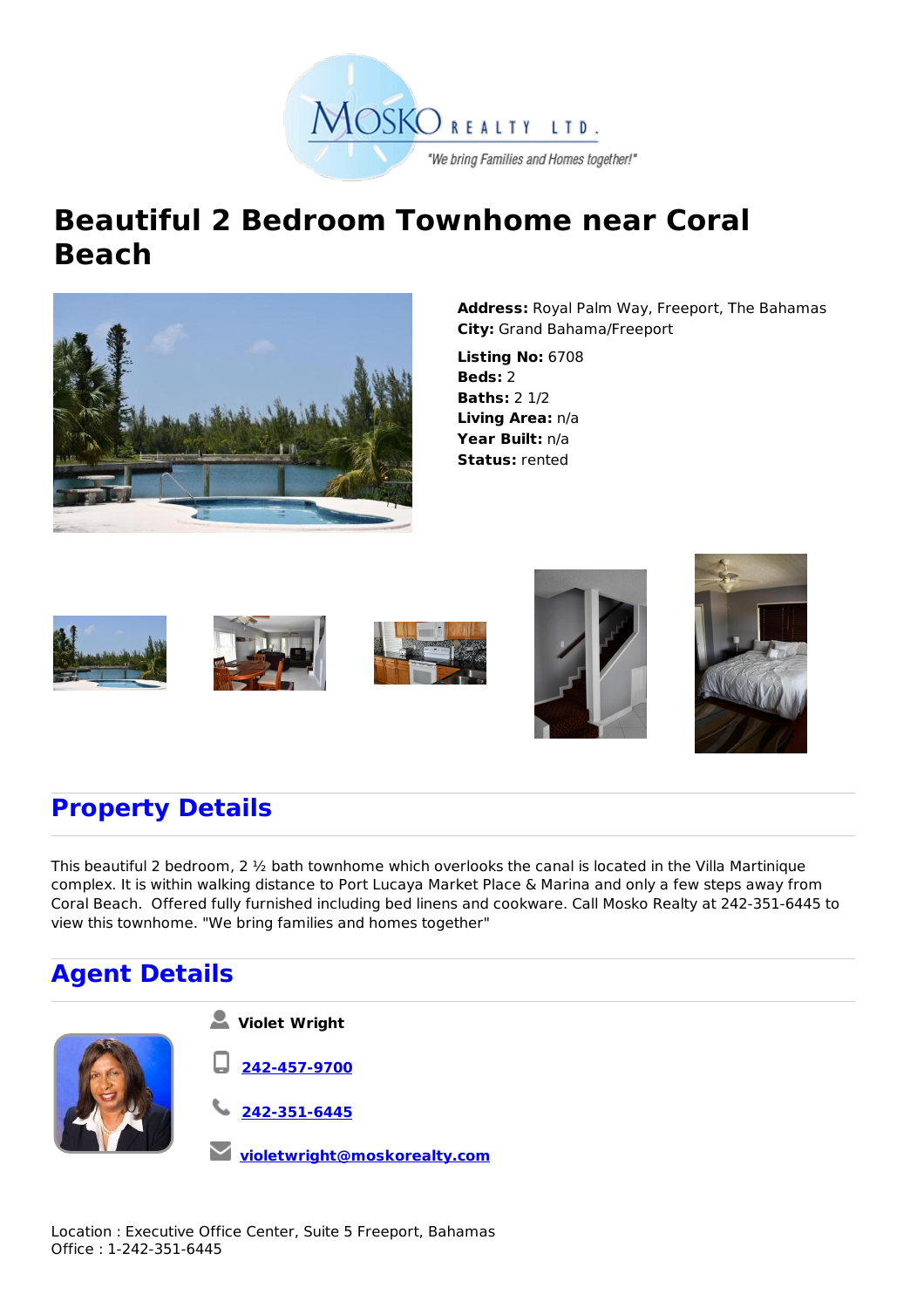

## **Beautiful 2 Bedroom Townhome near Coral Beach**



**Address:** Royal Palm Way, Freeport, The Bahamas **City:** Grand Bahama/Freeport

**Listing No:** 6708 **Beds:** 2 **Baths:** 2 1/2 **Living Area:** n/a **Year Built:** n/a **Status:** rented











## **Property Details**

This beautiful 2 bedroom, 2 ½ bath townhome which overlooks the canal is located in the Villa Martinique complex. It is within walking distance to Port Lucaya Market Place & Marina and only a few steps away from Coral Beach. Offered fully furnished including bed linens and cookware. Call Mosko Realty at 242-351-6445 to view this townhome. "We bring families and homes together"

## **Agent Details**